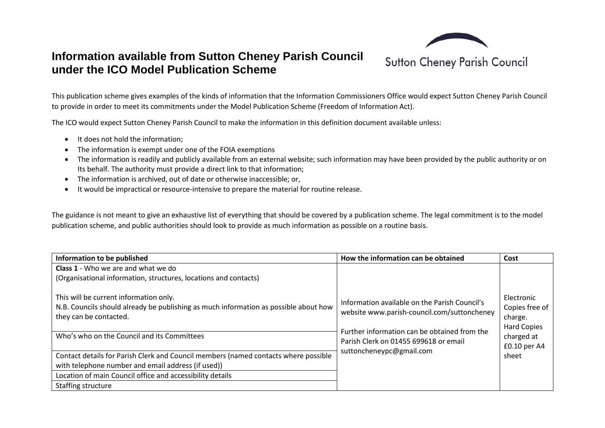

**Sutton Cheney Parish Council** 

## **Information available from Sutton Cheney Parish Council under the ICO Model Publication Scheme**

This publication scheme gives examples of the kinds of information that the Information Commissioners Office would expect Sutton Cheney Parish Council to provide in order to meet its commitments under the Model Publication Scheme (Freedom of Information Act).

The ICO would expect Sutton Cheney Parish Council to make the information in this definition document available unless:

- It does not hold the information;
- The information is exempt under one of the FOIA exemptions
- The information is readily and publicly available from an external website; such information may have been provided by the public authority or on Its behalf. The authority must provide a direct link to that information;
- The information is archived, out of date or otherwise inaccessible; or,
- It would be impractical or resource-intensive to prepare the material for routine release.

The guidance is not meant to give an exhaustive list of everything that should be covered by a publication scheme. The legal commitment is to the model publication scheme, and public authorities should look to provide as much information as possible on a routine basis.

| Information to be published                                                                                                                                                                             | How the information can be obtained                                                                                                                                                   | Cost                                                                                        |
|---------------------------------------------------------------------------------------------------------------------------------------------------------------------------------------------------------|---------------------------------------------------------------------------------------------------------------------------------------------------------------------------------------|---------------------------------------------------------------------------------------------|
| Class 1 - Who we are and what we do                                                                                                                                                                     |                                                                                                                                                                                       |                                                                                             |
| (Organisational information, structures, locations and contacts)                                                                                                                                        |                                                                                                                                                                                       |                                                                                             |
| This will be current information only.<br>N.B. Councils should already be publishing as much information as possible about how<br>they can be contacted.<br>Who's who on the Council and its Committees | Information available on the Parish Council's<br>website www.parish-council.com/suttoncheney<br>Further information can be obtained from the<br>Parish Clerk on 01455 699618 or email | Electronic<br>Copies free of<br>charge.<br><b>Hard Copies</b><br>charged at<br>£0.10 per A4 |
| Contact details for Parish Clerk and Council members (named contacts where possible<br>with telephone number and email address (if used))                                                               | suttoncheneypc@gmail.com                                                                                                                                                              | sheet                                                                                       |
| Location of main Council office and accessibility details                                                                                                                                               |                                                                                                                                                                                       |                                                                                             |
| Staffing structure                                                                                                                                                                                      |                                                                                                                                                                                       |                                                                                             |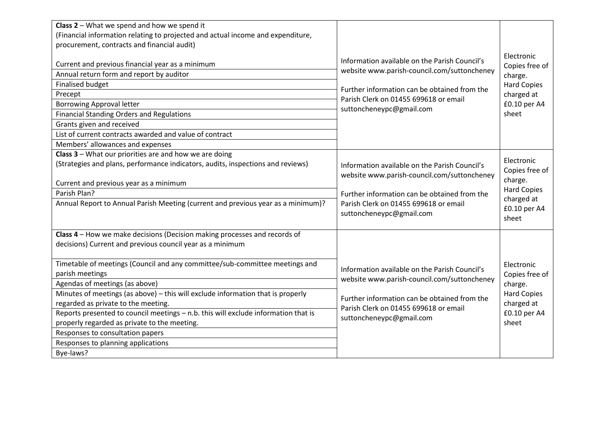| Class $2$ – What we spend and how we spend it                                      |                                               |                              |
|------------------------------------------------------------------------------------|-----------------------------------------------|------------------------------|
| (Financial information relating to projected and actual income and expenditure,    |                                               |                              |
| procurement, contracts and financial audit)                                        |                                               |                              |
|                                                                                    |                                               | Electronic                   |
| Current and previous financial year as a minimum                                   | Information available on the Parish Council's | Copies free of               |
| Annual return form and report by auditor                                           | website www.parish-council.com/suttoncheney   | charge.                      |
| <b>Finalised budget</b>                                                            | Further information can be obtained from the  | <b>Hard Copies</b>           |
| Precept                                                                            | Parish Clerk on 01455 699618 or email         | charged at                   |
| <b>Borrowing Approval letter</b>                                                   | suttoncheneypc@gmail.com                      | £0.10 per A4                 |
| <b>Financial Standing Orders and Regulations</b>                                   |                                               | sheet                        |
| Grants given and received                                                          |                                               |                              |
| List of current contracts awarded and value of contract                            |                                               |                              |
| Members' allowances and expenses                                                   |                                               |                              |
| Class 3 - What our priorities are and how we are doing                             |                                               |                              |
| (Strategies and plans, performance indicators, audits, inspections and reviews)    | Information available on the Parish Council's | Electronic<br>Copies free of |
|                                                                                    | website www.parish-council.com/suttoncheney   | charge.                      |
| Current and previous year as a minimum                                             |                                               | <b>Hard Copies</b>           |
| Parish Plan?                                                                       | Further information can be obtained from the  | charged at                   |
| Annual Report to Annual Parish Meeting (current and previous year as a minimum)?   | Parish Clerk on 01455 699618 or email         | £0.10 per A4                 |
|                                                                                    | suttoncheneypc@gmail.com                      | sheet                        |
|                                                                                    |                                               |                              |
| Class 4 - How we make decisions (Decision making processes and records of          |                                               |                              |
| decisions) Current and previous council year as a minimum                          |                                               |                              |
|                                                                                    |                                               |                              |
| Timetable of meetings (Council and any committee/sub-committee meetings and        | Information available on the Parish Council's | Electronic                   |
| parish meetings                                                                    | website www.parish-council.com/suttoncheney   | Copies free of               |
| Agendas of meetings (as above)                                                     |                                               | charge.                      |
| Minutes of meetings (as above) - this will exclude information that is properly    | Further information can be obtained from the  | <b>Hard Copies</b>           |
| regarded as private to the meeting.                                                | Parish Clerk on 01455 699618 or email         | charged at                   |
| Reports presented to council meetings - n.b. this will exclude information that is | suttoncheneypc@gmail.com                      | £0.10 per A4                 |
| properly regarded as private to the meeting.                                       |                                               | sheet                        |
| Responses to consultation papers                                                   |                                               |                              |
| Responses to planning applications                                                 |                                               |                              |
| Bye-laws?                                                                          |                                               |                              |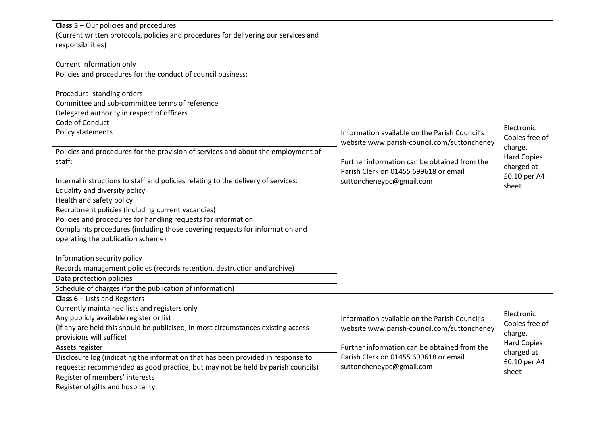| <b>Class 5</b> – Our policies and procedures                                        |                                               |                                  |
|-------------------------------------------------------------------------------------|-----------------------------------------------|----------------------------------|
| (Current written protocols, policies and procedures for delivering our services and |                                               |                                  |
| responsibilities)                                                                   |                                               |                                  |
|                                                                                     |                                               |                                  |
| Current information only                                                            |                                               |                                  |
| Policies and procedures for the conduct of council business:                        |                                               |                                  |
|                                                                                     |                                               |                                  |
| Procedural standing orders                                                          |                                               |                                  |
| Committee and sub-committee terms of reference                                      |                                               |                                  |
| Delegated authority in respect of officers                                          |                                               |                                  |
| Code of Conduct                                                                     |                                               |                                  |
| Policy statements                                                                   | Information available on the Parish Council's | Electronic                       |
|                                                                                     | website www.parish-council.com/suttoncheney   | Copies free of                   |
| Policies and procedures for the provision of services and about the employment of   |                                               | charge.                          |
| staff:                                                                              | Further information can be obtained from the  | <b>Hard Copies</b>               |
|                                                                                     | Parish Clerk on 01455 699618 or email         | charged at                       |
| Internal instructions to staff and policies relating to the delivery of services:   | suttoncheneypc@gmail.com                      | £0.10 per A4                     |
| Equality and diversity policy                                                       |                                               | sheet                            |
| Health and safety policy                                                            |                                               |                                  |
| Recruitment policies (including current vacancies)                                  |                                               |                                  |
| Policies and procedures for handling requests for information                       |                                               |                                  |
| Complaints procedures (including those covering requests for information and        |                                               |                                  |
| operating the publication scheme)                                                   |                                               |                                  |
|                                                                                     |                                               |                                  |
| Information security policy                                                         |                                               |                                  |
| Records management policies (records retention, destruction and archive)            |                                               |                                  |
| Data protection policies                                                            |                                               |                                  |
| Schedule of charges (for the publication of information)                            |                                               |                                  |
| <b>Class 6</b> $-$ Lists and Registers                                              |                                               |                                  |
| Currently maintained lists and registers only                                       |                                               |                                  |
| Any publicly available register or list                                             | Information available on the Parish Council's | Electronic                       |
| (if any are held this should be publicised; in most circumstances existing access   | website www.parish-council.com/suttoncheney   | Copies free of                   |
| provisions will suffice)                                                            |                                               | charge.                          |
| Assets register                                                                     | Further information can be obtained from the  | <b>Hard Copies</b><br>charged at |
| Disclosure log (indicating the information that has been provided in response to    | Parish Clerk on 01455 699618 or email         | £0.10 per A4                     |
| requests; recommended as good practice, but may not be held by parish councils)     | suttoncheneypc@gmail.com                      | sheet                            |
| Register of members' interests                                                      |                                               |                                  |
| Register of gifts and hospitality                                                   |                                               |                                  |